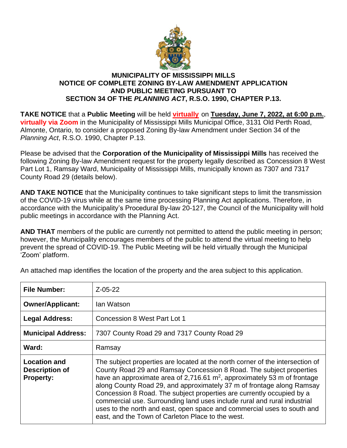

## **MUNICIPALITY OF MISSISSIPPI MILLS NOTICE OF COMPLETE ZONING BY-LAW AMENDMENT APPLICATION AND PUBLIC MEETING PURSUANT TO SECTION 34 OF THE** *PLANNING ACT***, R.S.O. 1990, CHAPTER P.13.**

**TAKE NOTICE** that a **Public Meeting** will be held **virtually** on **Tuesday, June 7, 2022, at 6:00 p.m.**, **virtually via Zoom** in the Municipality of Mississippi Mills Municipal Office, 3131 Old Perth Road, Almonte, Ontario, to consider a proposed Zoning By-law Amendment under Section 34 of the *Planning Act*, R.S.O. 1990, Chapter P.13.

Please be advised that the **Corporation of the Municipality of Mississippi Mills** has received the following Zoning By-law Amendment request for the property legally described as Concession 8 West Part Lot 1, Ramsay Ward, Municipality of Mississippi Mills, municipally known as 7307 and 7317 County Road 29 (details below).

**AND TAKE NOTICE** that the Municipality continues to take significant steps to limit the transmission of the COVID-19 virus while at the same time processing Planning Act applications. Therefore, in accordance with the Municipality's Procedural By-law 20-127, the Council of the Municipality will hold public meetings in accordance with the Planning Act.

**AND THAT** members of the public are currently not permitted to attend the public meeting in person; however, the Municipality encourages members of the public to attend the virtual meeting to help prevent the spread of COVID-19. The Public Meeting will be held virtually through the Municipal 'Zoom' platform.

| <b>File Number:</b>                                              | $Z - 05 - 22$                                                                                                                                                                                                                                                                                                                                                                                                                                                                                                                                                                                    |
|------------------------------------------------------------------|--------------------------------------------------------------------------------------------------------------------------------------------------------------------------------------------------------------------------------------------------------------------------------------------------------------------------------------------------------------------------------------------------------------------------------------------------------------------------------------------------------------------------------------------------------------------------------------------------|
| <b>Owner/Applicant:</b>                                          | lan Watson                                                                                                                                                                                                                                                                                                                                                                                                                                                                                                                                                                                       |
| <b>Legal Address:</b>                                            | Concession 8 West Part Lot 1                                                                                                                                                                                                                                                                                                                                                                                                                                                                                                                                                                     |
| <b>Municipal Address:</b>                                        | 7307 County Road 29 and 7317 County Road 29                                                                                                                                                                                                                                                                                                                                                                                                                                                                                                                                                      |
| Ward:                                                            | Ramsay                                                                                                                                                                                                                                                                                                                                                                                                                                                                                                                                                                                           |
| <b>Location and</b><br><b>Description of</b><br><b>Property:</b> | The subject properties are located at the north corner of the intersection of<br>County Road 29 and Ramsay Concession 8 Road. The subject properties<br>have an approximate area of 2,716.61 $m2$ , approximately 53 m of frontage<br>along County Road 29, and approximately 37 m of frontage along Ramsay<br>Concession 8 Road. The subject properties are currently occupied by a<br>commercial use. Surrounding land uses include rural and rural industrial<br>uses to the north and east, open space and commercial uses to south and<br>east, and the Town of Carleton Place to the west. |

An attached map identifies the location of the property and the area subject to this application.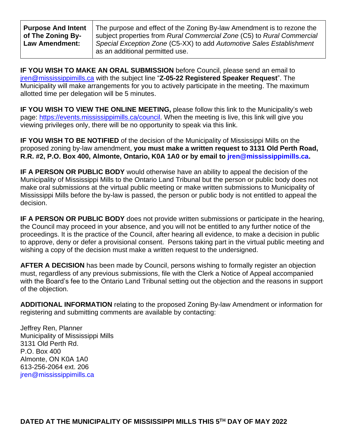| <b>Purpose And Intent</b> | The purpose and effect of the Zoning By-law Amendment is to rezone the |
|---------------------------|------------------------------------------------------------------------|
| of The Zoning By-         | subject properties from Rural Commercial Zone (C5) to Rural Commercial |
| <b>Law Amendment:</b>     | Special Exception Zone (C5-XX) to add Automotive Sales Establishment   |
|                           | as an additional permitted use.                                        |

**IF YOU WISH TO MAKE AN ORAL SUBMISSION** before Council, please send an email to [jren@mississippimills.ca](mailto:jren@mississippimills.ca) with the subject line "**Z-05-22 Registered Speaker Request**". The Municipality will make arrangements for you to actively participate in the meeting. The maximum allotted time per delegation will be 5 minutes.

**IF YOU WISH TO VIEW THE ONLINE MEETING,** please follow this link to the Municipality's web page: [https://events.mississippimills.ca/council.](https://events.mississippimills.ca/council) When the meeting is live, this link will give you viewing privileges only, there will be no opportunity to speak via this link.

**IF YOU WISH TO BE NOTIFIED** of the decision of the Municipality of Mississippi Mills on the proposed zoning by-law amendment, **you must make a written request to 3131 Old Perth Road, R.R. #2, P.O. Box 400, Almonte, Ontario, K0A 1A0 or by email to [jren@mississippimills.ca.](mailto:jren@mississippimills.ca)**

**IF A PERSON OR PUBLIC BODY** would otherwise have an ability to appeal the decision of the Municipality of Mississippi Mills to the Ontario Land Tribunal but the person or public body does not make oral submissions at the virtual public meeting or make written submissions to Municipality of Mississippi Mills before the by-law is passed, the person or public body is not entitled to appeal the decision.

**IF A PERSON OR PUBLIC BODY** does not provide written submissions or participate in the hearing, the Council may proceed in your absence, and you will not be entitled to any further notice of the proceedings. It is the practice of the Council, after hearing all evidence, to make a decision in public to approve, deny or defer a provisional consent. Persons taking part in the virtual public meeting and wishing a copy of the decision must make a written request to the undersigned.

**AFTER A DECISION** has been made by Council, persons wishing to formally register an objection must, regardless of any previous submissions, file with the Clerk a Notice of Appeal accompanied with the Board's fee to the Ontario Land Tribunal setting out the objection and the reasons in support of the objection.

**ADDITIONAL INFORMATION** relating to the proposed Zoning By-law Amendment or information for registering and submitting comments are available by contacting:

Jeffrey Ren, Planner Municipality of Mississippi Mills 3131 Old Perth Rd. P.O. Box 400 Almonte, ON K0A 1A0 613-256-2064 ext. 206 [jren@mississippimills.ca](mailto:jren@mississippimills.ca)